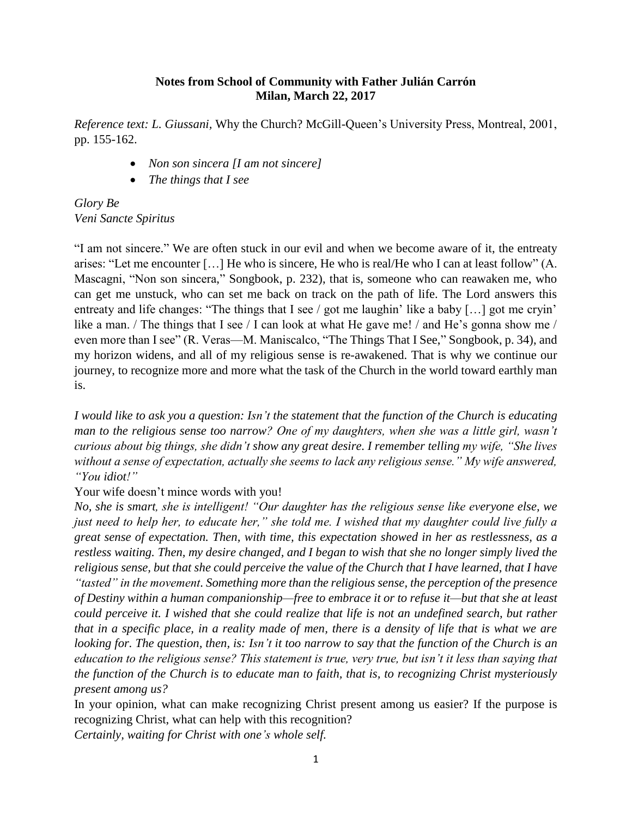## **Notes from School of Community with Father Julián Carrón Milan, March 22, 2017**

*Reference text: L. Giussani,* Why the Church? McGill-Queen's University Press, Montreal, 2001, pp. 155-162.

- *Non son sincera [I am not sincere]*
- *The things that I see*

*Glory Be Veni Sancte Spiritus*

"I am not sincere." We are often stuck in our evil and when we become aware of it, the entreaty arises: "Let me encounter […] He who is sincere, He who is real/He who I can at least follow" (A. Mascagni, "Non son sincera," Songbook, p. 232), that is, someone who can reawaken me, who can get me unstuck, who can set me back on track on the path of life. The Lord answers this entreaty and life changes: "The things that I see / got me laughin' like a baby [...] got me cryin' like a man. / The things that I see / I can look at what He gave me! / and He's gonna show me / even more than I see" (R. Veras—M. Maniscalco, "The Things That I See," Songbook, p. 34), and my horizon widens, and all of my religious sense is re-awakened. That is why we continue our journey, to recognize more and more what the task of the Church in the world toward earthly man is.

*I would like to ask you a question: Isn't the statement that the function of the Church is educating man to the religious sense too narrow? One of my daughters, when she was a little girl, wasn't curious about big things, she didn't show any great desire. I remember telling my wife, "She lives without a sense of expectation, actually she seems to lack any religious sense." My wife answered, "You idiot!"*

Your wife doesn't mince words with you!

*No, she is smart, she is intelligent! "Our daughter has the religious sense like everyone else, we just need to help her, to educate her," she told me. I wished that my daughter could live fully a great sense of expectation. Then, with time, this expectation showed in her as restlessness, as a restless waiting. Then, my desire changed, and I began to wish that she no longer simply lived the religious sense, but that she could perceive the value of the Church that I have learned, that I have "tasted" in the movement. Something more than the religious sense, the perception of the presence of Destiny within a human companionship—free to embrace it or to refuse it—but that she at least could perceive it. I wished that she could realize that life is not an undefined search, but rather that in a specific place, in a reality made of men, there is a density of life that is what we are looking for. The question, then, is: Isn't it too narrow to say that the function of the Church is an education to the religious sense? This statement is true, very true, but isn't it less than saying that the function of the Church is to educate man to faith, that is, to recognizing Christ mysteriously present among us?*

In your opinion, what can make recognizing Christ present among us easier? If the purpose is recognizing Christ, what can help with this recognition?

*Certainly, waiting for Christ with one's whole self.*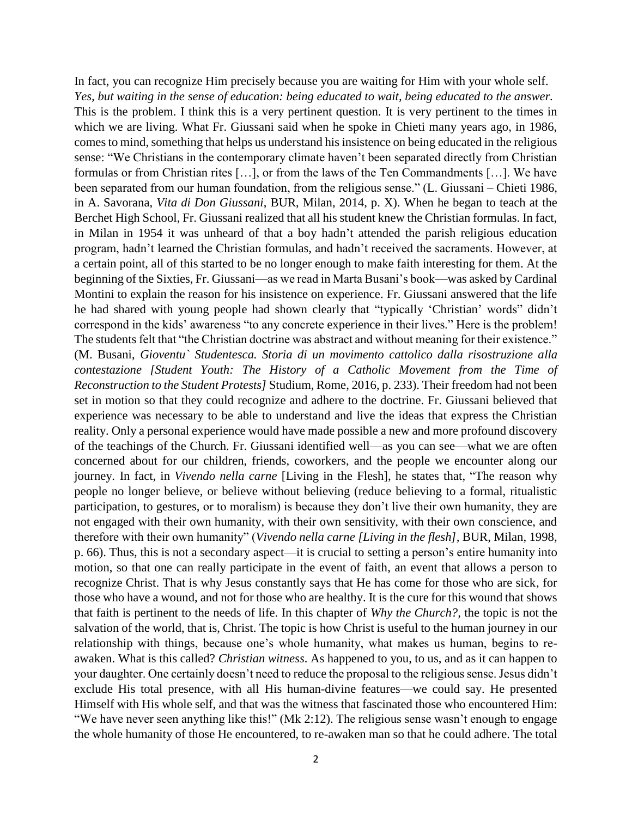In fact, you can recognize Him precisely because you are waiting for Him with your whole self. *Yes, but waiting in the sense of education: being educated to wait, being educated to the answer.* This is the problem. I think this is a very pertinent question. It is very pertinent to the times in which we are living. What Fr. Giussani said when he spoke in Chieti many years ago, in 1986, comes to mind, something that helps us understand his insistence on being educated in the religious sense: "We Christians in the contemporary climate haven't been separated directly from Christian formulas or from Christian rites […], or from the laws of the Ten Commandments […]. We have been separated from our human foundation, from the religious sense." (L. Giussani – Chieti 1986, in A. Savorana, *Vita di Don Giussani*, BUR, Milan, 2014, p. X). When he began to teach at the Berchet High School, Fr. Giussani realized that all his student knew the Christian formulas. In fact, in Milan in 1954 it was unheard of that a boy hadn't attended the parish religious education program, hadn't learned the Christian formulas, and hadn't received the sacraments. However, at a certain point, all of this started to be no longer enough to make faith interesting for them. At the beginning of the Sixties, Fr. Giussani—as we read in Marta Busani's book—was asked by Cardinal Montini to explain the reason for his insistence on experience. Fr. Giussani answered that the life he had shared with young people had shown clearly that "typically 'Christian' words" didn't correspond in the kids' awareness "to any concrete experience in their lives." Here is the problem! The students felt that "the Christian doctrine was abstract and without meaning for their existence." (M. Busani, *Gioventu` Studentesca. Storia di un movimento cattolico dalla risostruzione alla contestazione [Student Youth: The History of a Catholic Movement from the Time of Reconstruction to the Student Protests]* Studium, Rome, 2016, p. 233). Their freedom had not been set in motion so that they could recognize and adhere to the doctrine. Fr. Giussani believed that experience was necessary to be able to understand and live the ideas that express the Christian reality. Only a personal experience would have made possible a new and more profound discovery of the teachings of the Church. Fr. Giussani identified well—as you can see—what we are often concerned about for our children, friends, coworkers, and the people we encounter along our journey. In fact, in *Vivendo nella carne* [Living in the Flesh], he states that, "The reason why people no longer believe, or believe without believing (reduce believing to a formal, ritualistic participation, to gestures, or to moralism) is because they don't live their own humanity, they are not engaged with their own humanity, with their own sensitivity, with their own conscience, and therefore with their own humanity" (*Vivendo nella carne [Living in the flesh],* BUR, Milan, 1998, p. 66). Thus, this is not a secondary aspect—it is crucial to setting a person's entire humanity into motion, so that one can really participate in the event of faith, an event that allows a person to recognize Christ. That is why Jesus constantly says that He has come for those who are sick, for those who have a wound, and not for those who are healthy. It is the cure for this wound that shows that faith is pertinent to the needs of life. In this chapter of *Why the Church?,* the topic is not the salvation of the world, that is, Christ. The topic is how Christ is useful to the human journey in our relationship with things, because one's whole humanity, what makes us human, begins to reawaken. What is this called? *Christian witness*. As happened to you, to us, and as it can happen to your daughter. One certainly doesn't need to reduce the proposal to the religious sense. Jesus didn't exclude His total presence, with all His human-divine features—we could say. He presented Himself with His whole self, and that was the witness that fascinated those who encountered Him: "We have never seen anything like this!" (Mk 2:12). The religious sense wasn't enough to engage the whole humanity of those He encountered, to re-awaken man so that he could adhere. The total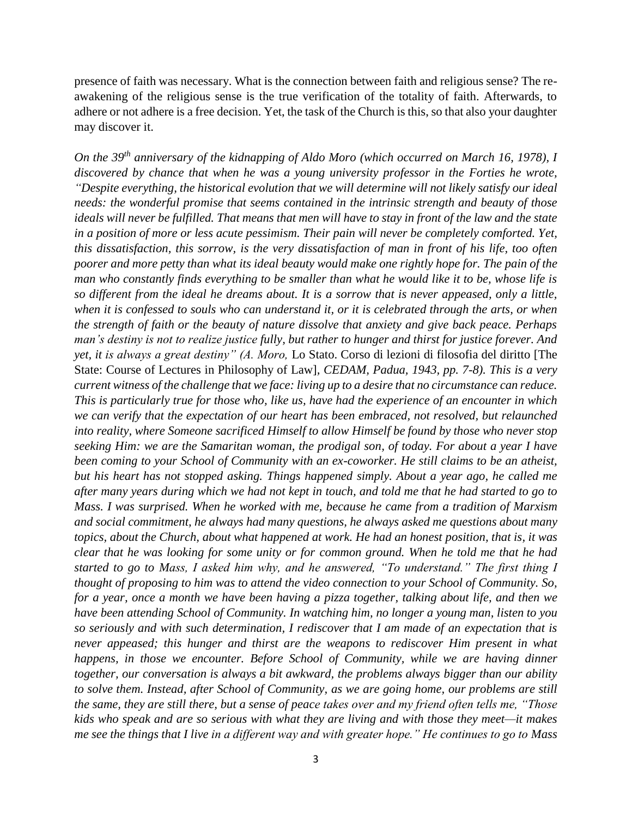presence of faith was necessary. What is the connection between faith and religious sense? The reawakening of the religious sense is the true verification of the totality of faith. Afterwards, to adhere or not adhere is a free decision. Yet, the task of the Church is this, so that also your daughter may discover it.

*On the 39th anniversary of the kidnapping of Aldo Moro (which occurred on March 16, 1978), I discovered by chance that when he was a young university professor in the Forties he wrote, "Despite everything, the historical evolution that we will determine will not likely satisfy our ideal needs: the wonderful promise that seems contained in the intrinsic strength and beauty of those ideals will never be fulfilled. That means that men will have to stay in front of the law and the state in a position of more or less acute pessimism. Their pain will never be completely comforted. Yet, this dissatisfaction, this sorrow, is the very dissatisfaction of man in front of his life, too often poorer and more petty than what its ideal beauty would make one rightly hope for. The pain of the man who constantly finds everything to be smaller than what he would like it to be, whose life is so different from the ideal he dreams about. It is a sorrow that is never appeased, only a little, when it is confessed to souls who can understand it, or it is celebrated through the arts, or when the strength of faith or the beauty of nature dissolve that anxiety and give back peace. Perhaps man's destiny is not to realize justice fully, but rather to hunger and thirst for justice forever. And yet, it is always a great destiny" (A. Moro,* Lo Stato. Corso di lezioni di filosofia del diritto [The State: Course of Lectures in Philosophy of Law]*, CEDAM, Padua, 1943, pp. 7-8). This is a very current witness of the challenge that we face: living up to a desire that no circumstance can reduce. This is particularly true for those who, like us, have had the experience of an encounter in which we can verify that the expectation of our heart has been embraced, not resolved, but relaunched into reality, where Someone sacrificed Himself to allow Himself be found by those who never stop seeking Him: we are the Samaritan woman, the prodigal son, of today. For about a year I have been coming to your School of Community with an ex-coworker. He still claims to be an atheist, but his heart has not stopped asking. Things happened simply. About a year ago, he called me after many years during which we had not kept in touch, and told me that he had started to go to Mass. I was surprised. When he worked with me, because he came from a tradition of Marxism and social commitment, he always had many questions, he always asked me questions about many topics, about the Church, about what happened at work. He had an honest position, that is, it was clear that he was looking for some unity or for common ground. When he told me that he had started to go to Mass, I asked him why, and he answered, "To understand." The first thing I thought of proposing to him was to attend the video connection to your School of Community. So, for a year, once a month we have been having a pizza together, talking about life, and then we have been attending School of Community. In watching him, no longer a young man, listen to you so seriously and with such determination, I rediscover that I am made of an expectation that is never appeased; this hunger and thirst are the weapons to rediscover Him present in what happens, in those we encounter. Before School of Community, while we are having dinner together, our conversation is always a bit awkward, the problems always bigger than our ability to solve them. Instead, after School of Community, as we are going home, our problems are still the same, they are still there, but a sense of peace takes over and my friend often tells me, "Those kids who speak and are so serious with what they are living and with those they meet—it makes me see the things that I live in a different way and with greater hope." He continues to go to Mass*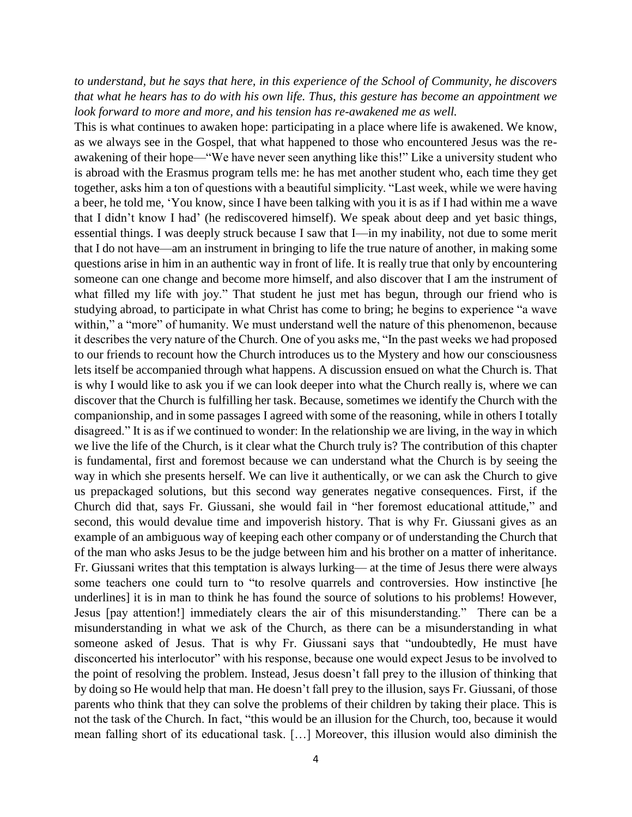*to understand, but he says that here, in this experience of the School of Community, he discovers that what he hears has to do with his own life. Thus, this gesture has become an appointment we look forward to more and more, and his tension has re-awakened me as well.*

This is what continues to awaken hope: participating in a place where life is awakened. We know, as we always see in the Gospel, that what happened to those who encountered Jesus was the reawakening of their hope—"We have never seen anything like this!" Like a university student who is abroad with the Erasmus program tells me: he has met another student who, each time they get together, asks him a ton of questions with a beautiful simplicity. "Last week, while we were having a beer, he told me, 'You know, since I have been talking with you it is as if I had within me a wave that I didn't know I had' (he rediscovered himself). We speak about deep and yet basic things, essential things. I was deeply struck because I saw that I—in my inability, not due to some merit that I do not have—am an instrument in bringing to life the true nature of another, in making some questions arise in him in an authentic way in front of life. It is really true that only by encountering someone can one change and become more himself, and also discover that I am the instrument of what filled my life with joy." That student he just met has begun, through our friend who is studying abroad, to participate in what Christ has come to bring; he begins to experience "a wave within," a "more" of humanity. We must understand well the nature of this phenomenon, because it describes the very nature of the Church. One of you asks me, "In the past weeks we had proposed to our friends to recount how the Church introduces us to the Mystery and how our consciousness lets itself be accompanied through what happens. A discussion ensued on what the Church is. That is why I would like to ask you if we can look deeper into what the Church really is, where we can discover that the Church is fulfilling her task. Because, sometimes we identify the Church with the companionship, and in some passages I agreed with some of the reasoning, while in others I totally disagreed." It is as if we continued to wonder: In the relationship we are living, in the way in which we live the life of the Church, is it clear what the Church truly is? The contribution of this chapter is fundamental, first and foremost because we can understand what the Church is by seeing the way in which she presents herself. We can live it authentically, or we can ask the Church to give us prepackaged solutions, but this second way generates negative consequences. First, if the Church did that, says Fr. Giussani, she would fail in "her foremost educational attitude," and second, this would devalue time and impoverish history. That is why Fr. Giussani gives as an example of an ambiguous way of keeping each other company or of understanding the Church that of the man who asks Jesus to be the judge between him and his brother on a matter of inheritance. Fr. Giussani writes that this temptation is always lurking— at the time of Jesus there were always some teachers one could turn to "to resolve quarrels and controversies. How instinctive [he underlines] it is in man to think he has found the source of solutions to his problems! However, Jesus [pay attention!] immediately clears the air of this misunderstanding." There can be a misunderstanding in what we ask of the Church, as there can be a misunderstanding in what someone asked of Jesus. That is why Fr. Giussani says that "undoubtedly, He must have disconcerted his interlocutor" with his response, because one would expect Jesus to be involved to the point of resolving the problem. Instead, Jesus doesn't fall prey to the illusion of thinking that by doing so He would help that man. He doesn't fall prey to the illusion, says Fr. Giussani, of those parents who think that they can solve the problems of their children by taking their place. This is not the task of the Church. In fact, "this would be an illusion for the Church, too, because it would mean falling short of its educational task. […] Moreover, this illusion would also diminish the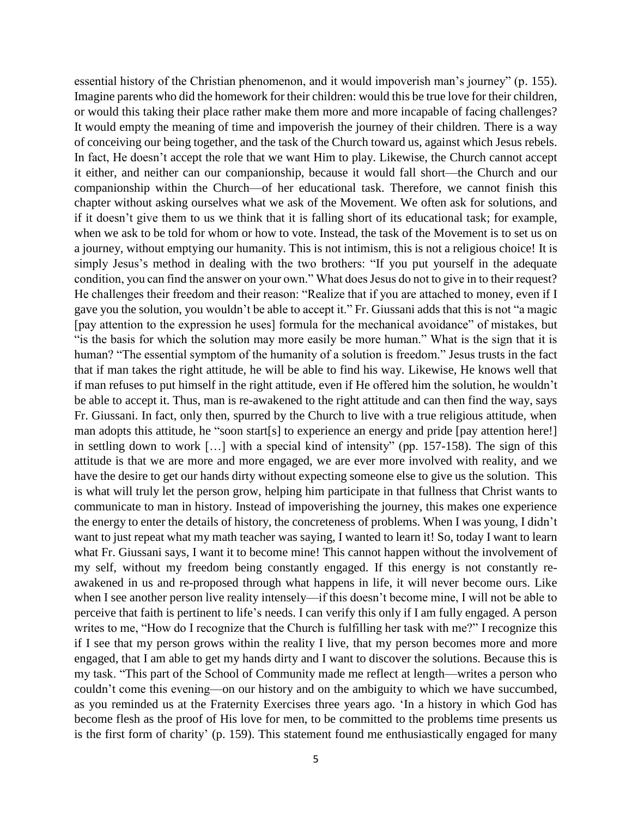essential history of the Christian phenomenon, and it would impoverish man's journey" (p. 155). Imagine parents who did the homework for their children: would this be true love for their children, or would this taking their place rather make them more and more incapable of facing challenges? It would empty the meaning of time and impoverish the journey of their children. There is a way of conceiving our being together, and the task of the Church toward us, against which Jesus rebels. In fact, He doesn't accept the role that we want Him to play. Likewise, the Church cannot accept it either, and neither can our companionship, because it would fall short—the Church and our companionship within the Church—of her educational task. Therefore, we cannot finish this chapter without asking ourselves what we ask of the Movement. We often ask for solutions, and if it doesn't give them to us we think that it is falling short of its educational task; for example, when we ask to be told for whom or how to vote. Instead, the task of the Movement is to set us on a journey, without emptying our humanity. This is not intimism, this is not a religious choice! It is simply Jesus's method in dealing with the two brothers: "If you put yourself in the adequate condition, you can find the answer on your own." What does Jesus do not to give in to their request? He challenges their freedom and their reason: "Realize that if you are attached to money, even if I gave you the solution, you wouldn't be able to accept it." Fr. Giussani adds that this is not "a magic [pay attention to the expression he uses] formula for the mechanical avoidance" of mistakes, but "is the basis for which the solution may more easily be more human." What is the sign that it is human? "The essential symptom of the humanity of a solution is freedom." Jesus trusts in the fact that if man takes the right attitude, he will be able to find his way. Likewise, He knows well that if man refuses to put himself in the right attitude, even if He offered him the solution, he wouldn't be able to accept it. Thus, man is re-awakened to the right attitude and can then find the way, says Fr. Giussani. In fact, only then, spurred by the Church to live with a true religious attitude, when man adopts this attitude, he "soon start[s] to experience an energy and pride [pay attention here!] in settling down to work […] with a special kind of intensity" (pp. 157-158). The sign of this attitude is that we are more and more engaged, we are ever more involved with reality, and we have the desire to get our hands dirty without expecting someone else to give us the solution. This is what will truly let the person grow, helping him participate in that fullness that Christ wants to communicate to man in history. Instead of impoverishing the journey, this makes one experience the energy to enter the details of history, the concreteness of problems. When I was young, I didn't want to just repeat what my math teacher was saying, I wanted to learn it! So, today I want to learn what Fr. Giussani says, I want it to become mine! This cannot happen without the involvement of my self, without my freedom being constantly engaged. If this energy is not constantly reawakened in us and re-proposed through what happens in life, it will never become ours. Like when I see another person live reality intensely—if this doesn't become mine, I will not be able to perceive that faith is pertinent to life's needs. I can verify this only if I am fully engaged. A person writes to me, "How do I recognize that the Church is fulfilling her task with me?" I recognize this if I see that my person grows within the reality I live, that my person becomes more and more engaged, that I am able to get my hands dirty and I want to discover the solutions. Because this is my task. "This part of the School of Community made me reflect at length—writes a person who couldn't come this evening—on our history and on the ambiguity to which we have succumbed, as you reminded us at the Fraternity Exercises three years ago. 'In a history in which God has become flesh as the proof of His love for men, to be committed to the problems time presents us is the first form of charity' (p. 159). This statement found me enthusiastically engaged for many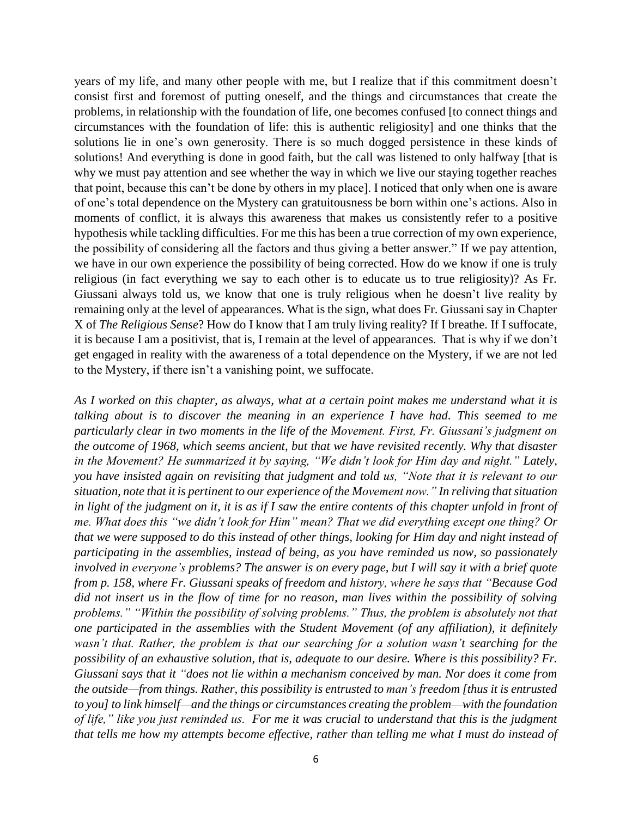years of my life, and many other people with me, but I realize that if this commitment doesn't consist first and foremost of putting oneself, and the things and circumstances that create the problems, in relationship with the foundation of life, one becomes confused [to connect things and circumstances with the foundation of life: this is authentic religiosity] and one thinks that the solutions lie in one's own generosity. There is so much dogged persistence in these kinds of solutions! And everything is done in good faith, but the call was listened to only halfway [that is why we must pay attention and see whether the way in which we live our staying together reaches that point, because this can't be done by others in my place]. I noticed that only when one is aware of one's total dependence on the Mystery can gratuitousness be born within one's actions. Also in moments of conflict, it is always this awareness that makes us consistently refer to a positive hypothesis while tackling difficulties. For me this has been a true correction of my own experience, the possibility of considering all the factors and thus giving a better answer." If we pay attention, we have in our own experience the possibility of being corrected. How do we know if one is truly religious (in fact everything we say to each other is to educate us to true religiosity)? As Fr. Giussani always told us, we know that one is truly religious when he doesn't live reality by remaining only at the level of appearances. What is the sign, what does Fr. Giussani say in Chapter X of *The Religious Sense*? How do I know that I am truly living reality? If I breathe. If I suffocate, it is because I am a positivist, that is, I remain at the level of appearances. That is why if we don't get engaged in reality with the awareness of a total dependence on the Mystery, if we are not led to the Mystery, if there isn't a vanishing point, we suffocate.

*As I worked on this chapter, as always, what at a certain point makes me understand what it is talking about is to discover the meaning in an experience I have had. This seemed to me particularly clear in two moments in the life of the Movement. First, Fr. Giussani's judgment on the outcome of 1968, which seems ancient, but that we have revisited recently. Why that disaster in the Movement? He summarized it by saying, "We didn't look for Him day and night." Lately, you have insisted again on revisiting that judgment and told us, "Note that it is relevant to our situation, note that it is pertinent to our experience of the Movement now." In reliving that situation in light of the judgment on it, it is as if I saw the entire contents of this chapter unfold in front of me. What does this "we didn't look for Him" mean? That we did everything except one thing? Or that we were supposed to do this instead of other things, looking for Him day and night instead of participating in the assemblies, instead of being, as you have reminded us now, so passionately involved in everyone's problems? The answer is on every page, but I will say it with a brief quote from p. 158, where Fr. Giussani speaks of freedom and history, where he says that "Because God did not insert us in the flow of time for no reason, man lives within the possibility of solving problems." "Within the possibility of solving problems." Thus, the problem is absolutely not that one participated in the assemblies with the Student Movement (of any affiliation), it definitely wasn't that. Rather, the problem is that our searching for a solution wasn't searching for the possibility of an exhaustive solution, that is, adequate to our desire. Where is this possibility? Fr. Giussani says that it "does not lie within a mechanism conceived by man. Nor does it come from the outside—from things. Rather, this possibility is entrusted to man's freedom [thus it is entrusted to you] to link himself—and the things or circumstances creating the problem—with the foundation of life," like you just reminded us. For me it was crucial to understand that this is the judgment that tells me how my attempts become effective, rather than telling me what I must do instead of*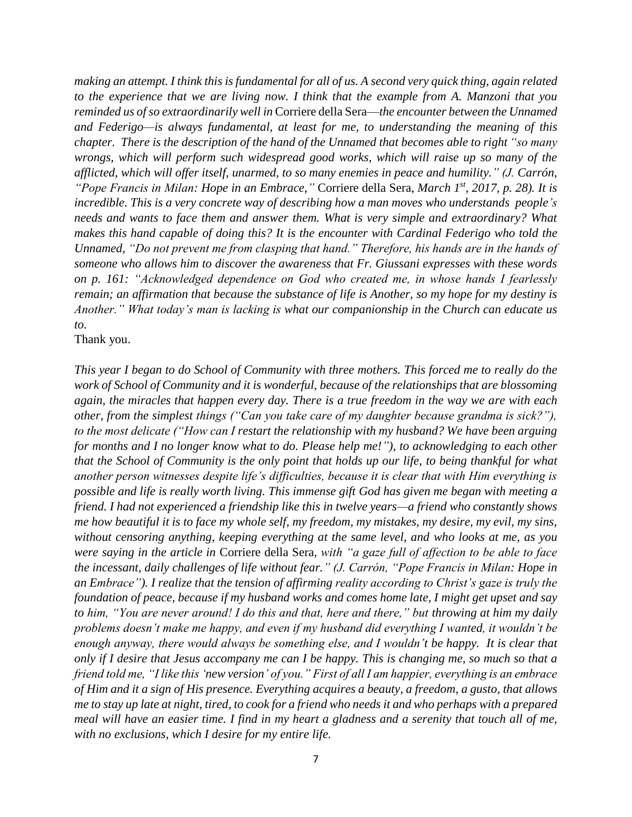*making an attempt. I think this is fundamental for all of us. A second very quick thing, again related to the experience that we are living now. I think that the example from A. Manzoni that you reminded us of so extraordinarily well in* Corriere della Sera—*the encounter between the Unnamed and Federigo—is always fundamental, at least for me, to understanding the meaning of this chapter. There is the description of the hand of the Unnamed that becomes able to right "so many wrongs, which will perform such widespread good works, which will raise up so many of the afflicted, which will offer itself, unarmed, to so many enemies in peace and humility." (J. Carrón, "Pope Francis in Milan: Hope in an Embrace,"* Corriere della Sera, *March 1st, 2017, p. 28). It is incredible. This is a very concrete way of describing how a man moves who understands people's needs and wants to face them and answer them. What is very simple and extraordinary? What makes this hand capable of doing this? It is the encounter with Cardinal Federigo who told the Unnamed, "Do not prevent me from clasping that hand." Therefore, his hands are in the hands of someone who allows him to discover the awareness that Fr. Giussani expresses with these words on p. 161: "Acknowledged dependence on God who created me, in whose hands I fearlessly remain; an affirmation that because the substance of life is Another, so my hope for my destiny is Another." What today's man is lacking is what our companionship in the Church can educate us to.*

Thank you.

*This year I began to do School of Community with three mothers. This forced me to really do the work of School of Community and it is wonderful, because of the relationships that are blossoming again, the miracles that happen every day. There is a true freedom in the way we are with each other, from the simplest things ("Can you take care of my daughter because grandma is sick?"), to the most delicate ("How can I restart the relationship with my husband? We have been arguing*  for months and I no longer know what to do. Please help me!"), to acknowledging to each other *that the School of Community is the only point that holds up our life, to being thankful for what another person witnesses despite life's difficulties, because it is clear that with Him everything is possible and life is really worth living. This immense gift God has given me began with meeting a friend. I had not experienced a friendship like this in twelve years—a friend who constantly shows me how beautiful it is to face my whole self, my freedom, my mistakes, my desire, my evil, my sins, without censoring anything, keeping everything at the same level, and who looks at me, as you were saying in the article in* Corriere della Sera, *with "a gaze full of affection to be able to face the incessant, daily challenges of life without fear." (J. Carrón, "Pope Francis in Milan: Hope in an Embrace"). I realize that the tension of affirming reality according to Christ's gaze is truly the foundation of peace, because if my husband works and comes home late, I might get upset and say to him, "You are never around! I do this and that, here and there," but throwing at him my daily problems doesn't make me happy, and even if my husband did everything I wanted, it wouldn't be enough anyway, there would always be something else, and I wouldn't be happy. It is clear that only if I desire that Jesus accompany me can I be happy. This is changing me, so much so that a friend told me, "I like this 'new version' of you." First of all I am happier, everything is an embrace of Him and it a sign of His presence. Everything acquires a beauty, a freedom, a gusto, that allows me to stay up late at night, tired, to cook for a friend who needs it and who perhaps with a prepared meal will have an easier time. I find in my heart a gladness and a serenity that touch all of me, with no exclusions, which I desire for my entire life.*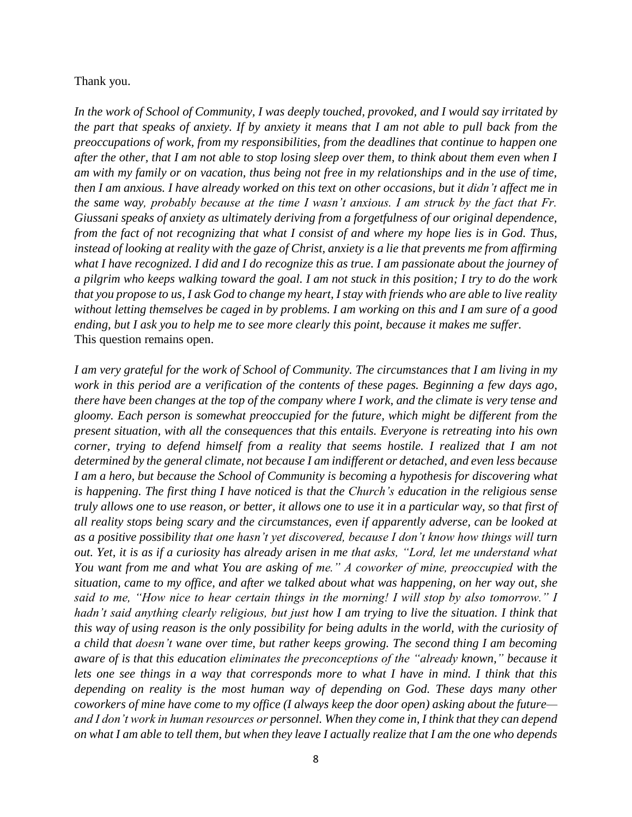## Thank you.

*In the work of School of Community, I was deeply touched, provoked, and I would say irritated by the part that speaks of anxiety. If by anxiety it means that I am not able to pull back from the preoccupations of work, from my responsibilities, from the deadlines that continue to happen one after the other, that I am not able to stop losing sleep over them, to think about them even when I am with my family or on vacation, thus being not free in my relationships and in the use of time, then I am anxious. I have already worked on this text on other occasions, but it didn't affect me in the same way, probably because at the time I wasn't anxious. I am struck by the fact that Fr. Giussani speaks of anxiety as ultimately deriving from a forgetfulness of our original dependence, from the fact of not recognizing that what I consist of and where my hope lies is in God. Thus, instead of looking at reality with the gaze of Christ, anxiety is a lie that prevents me from affirming what I have recognized. I did and I do recognize this as true. I am passionate about the journey of a pilgrim who keeps walking toward the goal. I am not stuck in this position; I try to do the work that you propose to us, I ask God to change my heart, I stay with friends who are able to live reality without letting themselves be caged in by problems. I am working on this and I am sure of a good ending, but I ask you to help me to see more clearly this point, because it makes me suffer.* This question remains open.

*I am very grateful for the work of School of Community. The circumstances that I am living in my work in this period are a verification of the contents of these pages. Beginning a few days ago, there have been changes at the top of the company where I work, and the climate is very tense and gloomy. Each person is somewhat preoccupied for the future, which might be different from the present situation, with all the consequences that this entails. Everyone is retreating into his own corner, trying to defend himself from a reality that seems hostile. I realized that I am not determined by the general climate, not because I am indifferent or detached, and even less because I am a hero, but because the School of Community is becoming a hypothesis for discovering what is happening. The first thing I have noticed is that the Church's education in the religious sense truly allows one to use reason, or better, it allows one to use it in a particular way, so that first of all reality stops being scary and the circumstances, even if apparently adverse, can be looked at as a positive possibility that one hasn't yet discovered, because I don't know how things will turn out. Yet, it is as if a curiosity has already arisen in me that asks, "Lord, let me understand what You want from me and what You are asking of me." A coworker of mine, preoccupied with the situation, came to my office, and after we talked about what was happening, on her way out, she said to me, "How nice to hear certain things in the morning! I will stop by also tomorrow." I hadn't said anything clearly religious, but just how I am trying to live the situation. I think that this way of using reason is the only possibility for being adults in the world, with the curiosity of a child that doesn't wane over time, but rather keeps growing. The second thing I am becoming aware of is that this education eliminates the preconceptions of the "already known," because it lets one see things in a way that corresponds more to what I have in mind. I think that this depending on reality is the most human way of depending on God. These days many other coworkers of mine have come to my office (I always keep the door open) asking about the future and I don't work in human resources or personnel. When they come in, I think that they can depend on what I am able to tell them, but when they leave I actually realize that I am the one who depends*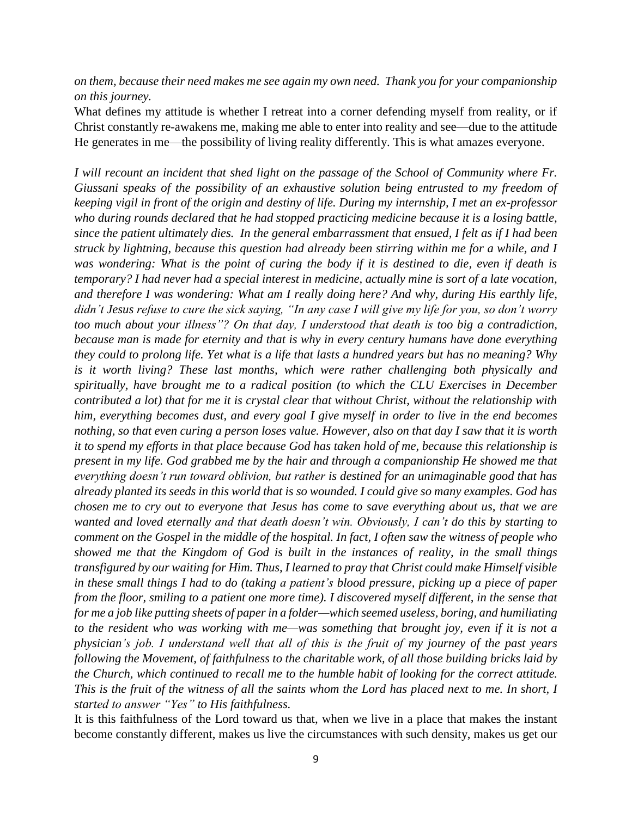*on them, because their need makes me see again my own need. Thank you for your companionship on this journey.*

What defines my attitude is whether I retreat into a corner defending myself from reality, or if Christ constantly re-awakens me, making me able to enter into reality and see—due to the attitude He generates in me—the possibility of living reality differently. This is what amazes everyone.

*I will recount an incident that shed light on the passage of the School of Community where Fr. Giussani speaks of the possibility of an exhaustive solution being entrusted to my freedom of keeping vigil in front of the origin and destiny of life. During my internship, I met an ex-professor who during rounds declared that he had stopped practicing medicine because it is a losing battle, since the patient ultimately dies. In the general embarrassment that ensued, I felt as if I had been struck by lightning, because this question had already been stirring within me for a while, and I was wondering: What is the point of curing the body if it is destined to die, even if death is temporary? I had never had a special interest in medicine, actually mine is sort of a late vocation, and therefore I was wondering: What am I really doing here? And why, during His earthly life, didn't Jesus refuse to cure the sick saying, "In any case I will give my life for you, so don't worry too much about your illness"? On that day, I understood that death is too big a contradiction, because man is made for eternity and that is why in every century humans have done everything they could to prolong life. Yet what is a life that lasts a hundred years but has no meaning? Why is it worth living? These last months, which were rather challenging both physically and spiritually, have brought me to a radical position (to which the CLU Exercises in December contributed a lot) that for me it is crystal clear that without Christ, without the relationship with him, everything becomes dust, and every goal I give myself in order to live in the end becomes nothing, so that even curing a person loses value. However, also on that day I saw that it is worth it to spend my efforts in that place because God has taken hold of me, because this relationship is present in my life. God grabbed me by the hair and through a companionship He showed me that everything doesn't run toward oblivion, but rather is destined for an unimaginable good that has already planted its seeds in this world that is so wounded. I could give so many examples. God has chosen me to cry out to everyone that Jesus has come to save everything about us, that we are wanted and loved eternally and that death doesn't win. Obviously, I can't do this by starting to comment on the Gospel in the middle of the hospital. In fact, I often saw the witness of people who showed me that the Kingdom of God is built in the instances of reality, in the small things transfigured by our waiting for Him. Thus, I learned to pray that Christ could make Himself visible in these small things I had to do (taking a patient's blood pressure, picking up a piece of paper from the floor, smiling to a patient one more time). I discovered myself different, in the sense that for me a job like putting sheets of paper in a folder—which seemed useless, boring, and humiliating to the resident who was working with me—was something that brought joy, even if it is not a physician's job. I understand well that all of this is the fruit of my journey of the past years following the Movement, of faithfulness to the charitable work, of all those building bricks laid by the Church, which continued to recall me to the humble habit of looking for the correct attitude. This is the fruit of the witness of all the saints whom the Lord has placed next to me. In short, I started to answer "Yes" to His faithfulness.*

It is this faithfulness of the Lord toward us that, when we live in a place that makes the instant become constantly different, makes us live the circumstances with such density, makes us get our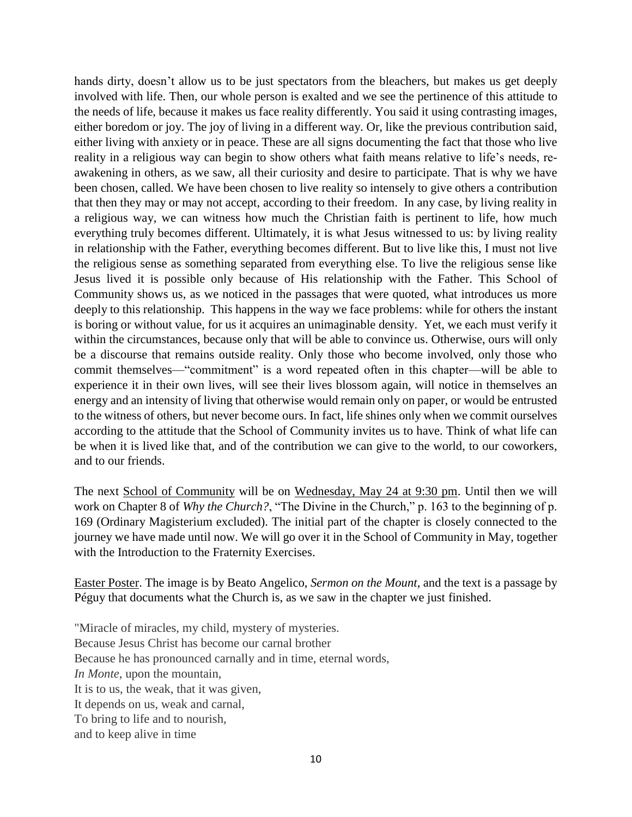hands dirty, doesn't allow us to be just spectators from the bleachers, but makes us get deeply involved with life. Then, our whole person is exalted and we see the pertinence of this attitude to the needs of life, because it makes us face reality differently. You said it using contrasting images, either boredom or joy. The joy of living in a different way. Or, like the previous contribution said, either living with anxiety or in peace. These are all signs documenting the fact that those who live reality in a religious way can begin to show others what faith means relative to life's needs, reawakening in others, as we saw, all their curiosity and desire to participate. That is why we have been chosen, called. We have been chosen to live reality so intensely to give others a contribution that then they may or may not accept, according to their freedom. In any case, by living reality in a religious way, we can witness how much the Christian faith is pertinent to life, how much everything truly becomes different. Ultimately, it is what Jesus witnessed to us: by living reality in relationship with the Father, everything becomes different. But to live like this, I must not live the religious sense as something separated from everything else. To live the religious sense like Jesus lived it is possible only because of His relationship with the Father. This School of Community shows us, as we noticed in the passages that were quoted, what introduces us more deeply to this relationship. This happens in the way we face problems: while for others the instant is boring or without value, for us it acquires an unimaginable density. Yet, we each must verify it within the circumstances, because only that will be able to convince us. Otherwise, ours will only be a discourse that remains outside reality. Only those who become involved, only those who commit themselves—"commitment" is a word repeated often in this chapter—will be able to experience it in their own lives, will see their lives blossom again, will notice in themselves an energy and an intensity of living that otherwise would remain only on paper, or would be entrusted to the witness of others, but never become ours. In fact, life shines only when we commit ourselves according to the attitude that the School of Community invites us to have. Think of what life can be when it is lived like that, and of the contribution we can give to the world, to our coworkers, and to our friends.

The next School of Community will be on Wednesday, May 24 at 9:30 pm. Until then we will work on Chapter 8 of *Why the Church?*, "The Divine in the Church," p. 163 to the beginning of p. 169 (Ordinary Magisterium excluded). The initial part of the chapter is closely connected to the journey we have made until now. We will go over it in the School of Community in May, together with the Introduction to the Fraternity Exercises.

Easter Poster. The image is by Beato Angelico, *Sermon on the Mount*, and the text is a passage by Péguy that documents what the Church is, as we saw in the chapter we just finished.

"Miracle of miracles, my child, mystery of mysteries. Because Jesus Christ has become our carnal brother Because he has pronounced carnally and in time, eternal words, *In Monte*, upon the mountain, It is to us, the weak, that it was given, It depends on us, weak and carnal, To bring to life and to nourish, and to keep alive in time